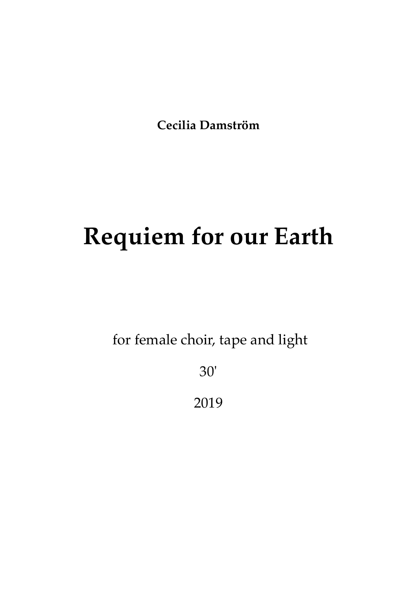**Cecilia Damström**

# **Requiem for our Earth**

for female choir, tape and light

30'

2019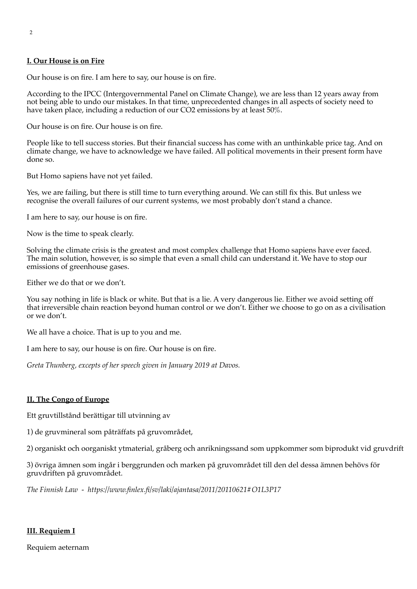#### **I. Our House is on Fire**

Our house is on fire. I am here to say, our house is on fire.

According to the IPCC (Intergovernmental Panel on Climate Change), we are less than 12 years away from not being able to undo our mistakes. In that time, unprecedented changes in all aspects of society need to have taken place, including a reduction of our CO2 emissions by at least 50%.

Our house is on fire. Our house is on fire.

People like to tell success stories. But their financial success has come with an unthinkable price tag. And on climate change, we have to acknowledge we have failed. All political movements in their present form have done so.

But Homo sapiens have not yet failed.

Yes, we are failing, but there is still time to turn everything around. We can still fix this. But unless we recognise the overall failures of our current systems, we most probably don't stand a chance.

I am here to say, our house is on fire.

Now is the time to speak clearly.

Solving the climate crisis is the greatest and most complex challenge that Homo sapiens have ever faced. The main solution, however, is so simple that even a small child can understand it. We have to stop our emissions of greenhouse gases.

Either we do that or we don't.

You say nothing in life is black or white. But that is a lie. A very dangerous lie. Either we avoid setting off that irreversible chain reaction beyond human control or we don't. Either we choose to go on as a civilisation or we don't.

We all have a choice. That is up to you and me.

I am here to say, our house is on fire. Our house is on fire.

*Greta Thunberg, excepts of her speech given in January 2019 at Davos.*

#### **II. The Congo of Europe**

Ett gruvtillstånd berättigar till utvinning av

1) de gruvmineral som påträffats på gruvområdet,

2) organiskt och oorganiskt ytmaterial, gråberg och anrikningssand som uppkommer som biprodukt vid gruvdrift

3) övriga ämnen som ingår i berggrunden och marken på gruvområdet till den del dessa ämnen behövs för gruvdriften på gruvområdet.

*The Finnish Law - https://www.finlex.fi/sv/laki/ajantasa/2011/20110621#O1L3P17*

#### **III. Requiem I**

Requiem aeternam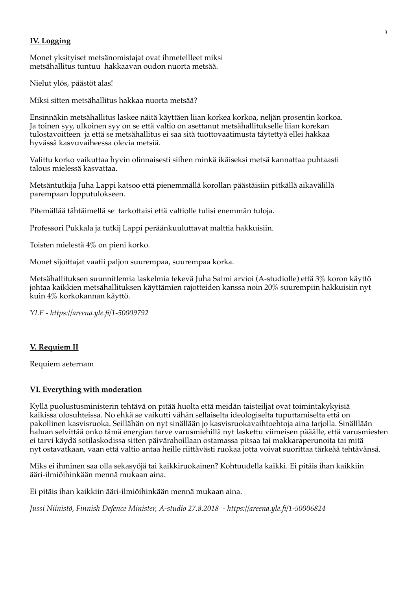#### **IV. Logging**

Monet yksityiset metsänomistajat ovat ihmetellleet miksi metsähallitus tuntuu hakkaavan oudon nuorta metsää.

Nielut ylös, päästöt alas!

Miksi sitten metsähallitus hakkaa nuorta metsää?

Ensinnäkin metsähallitus laskee näitä käyttäen liian korkea korkoa, neljän prosentin korkoa. Ja toinen syy, ulkoinen syy on se että valtio on asettanut metsähallitukselle liian korekan tulostavoitteen ja että se metsähallitus ei saa sitä tuottovaatimusta täytettyä ellei hakkaa hyvässä kasvuvaiheessa olevia metsiä.

Valittu korko vaikuttaa hyvin olinnaisesti siihen minkä ikäiseksi metsä kannattaa puhtaasti talous mielessä kasvattaa.

Metsäntutkija Juha Lappi katsoo että pienemmällä korollan päästäisiin pitkällä aikavälillä parempaan lopputulokseen.

Pitemällää tähtäimellä se tarkottaisi että valtiolle tulisi enemmän tuloja.

Professori Pukkala ja tutkij Lappi peräänkuuluttavat malttia hakkuisiin.

Toisten mielestä 4% on pieni korko.

Monet sijoittajat vaatii paljon suurempaa, suurempaa korka.

Metsähallituksen suunnitlemia laskelmia tekevä Juha Salmi arvioi (A-studiolle) että 3% koron käyttö johtaa kaikkien metsähallituksen käyttämien rajotteiden kanssa noin 20% suurempiin hakkuisiin nyt kuin 4% korkokannan käyttö.

*YLE - https://areena.yle.fi/1-50009792*

#### **V. Requiem II**

Requiem aeternam

#### **VI. Everything with moderation**

Kyllä puolustusministerin tehtävä on pitää huolta että meidän taisteiljat ovat toimintakykyisiä kaikissa olosuhteissa. No ehkä se vaikutti vähän sellaiselta ideologiselta tuputtamiselta että on pakollinen kasvisruoka. Seillähän on nyt sinällään jo kasvisruokavaihtoehtoja aina tarjolla. Sinälllään haluan selvittää onko tämä energian tarve varusmiehillä nyt laskettu viimeisen pääälle, että varusmiesten ei tarvi käydä sotilaskodissa sitten päivärahoillaan ostamassa pitsaa tai makkaraperunoita tai mitä nyt ostavatkaan, vaan että valtio antaa heille riittävästi ruokaa jotta voivat suorittaa tärkeää tehtävänsä.

Miks ei ihminen saa olla sekasyöjä tai kaikkiruokainen? Kohtuudella kaikki. Ei pitäis ihan kaikkiin ääri-ilmiöihinkään mennä mukaan aina.

Ei pitäis ihan kaikkiin ääri-ilmiöihinkään mennä mukaan aina.

*Jussi Niinistö, Finnish Defence Minister, A-studio 27.8.2018 - https://areena.yle.fi/1-50006824*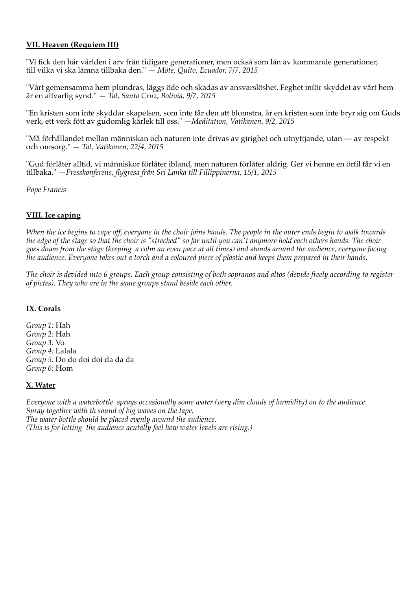## **VII. Heaven (Requiem III)**

"Vi fick den här världen i arv från tidigare generationer, men också som lån av kommande generationer, till vilka vi ska lämna tillbaka den." *— Möte, Quito, Ecuador, 7/7, 2015*

"Vårt gemensamma hem plundras, läggs öde och skadas av ansvarslöshet. Feghet inför skyddet av vårt hem är en allvarlig synd." *— Tal, Santa Cruz, Bolivia, 9/7, 2015*

"En kristen som inte skyddar skapelsen, som inte får den att blomstra, är en kristen som inte bryr sig om Guds verk, ett verk fött av gudomlig kärlek till oss." *—Meditation, Vatikanen, 9/2, 2015*

"Må förhållandet mellan människan och naturen inte drivas av girighet och utnyttjande, utan --- av respekt och omsorg." *— Tal, Vatikanen, 22/4, 2015*

"Gud förlåter alltid, vi människor förlåter ibland, men naturen förlåter aldrig. Ger vi henne en örfil får vi en tillbaka." *—Presskonferens, flygresa från Sri Lanka till Fillippinerna, 15/1, 2015*

*Pope Francis*

### **VIII. Ice caping**

*When the ice begins to cape off, everyone in the choir joins hands. The people in the outer ends begin to walk towards the edge of the stage so that the choir is "streched" so far until you can't anymore hold each others hands. The choir goes down from the stage (keeping a calm an even pace at all times) and stands around the audience, everyone facing the audience. Everyone takes out a torch and a coloured piece of plastic and keeps them prepared in their hands.* 

*The choir is devided into 6 groups. Each group consisting of both sopranos and altos (devide freely according to register of pictes). They who are in the same groups stand beside each other.*

#### **IX. Corals**

*Group 1:* Hah *Group 2:* Hah *Group 3:* Vo *Group 4:* Lalala *Group 5:* Do do doi doi da da da *Group 6:* Hom

#### **X. Water**

*Everyone with a waterbottle sprays occasionally some water (very dim clouds of humidity) on to the audience. Spray together with th sound of big waves on the tape. The water bottle should be placed evenly around the audience. (This is for letting the audience acutally feel how water levels are rising.)*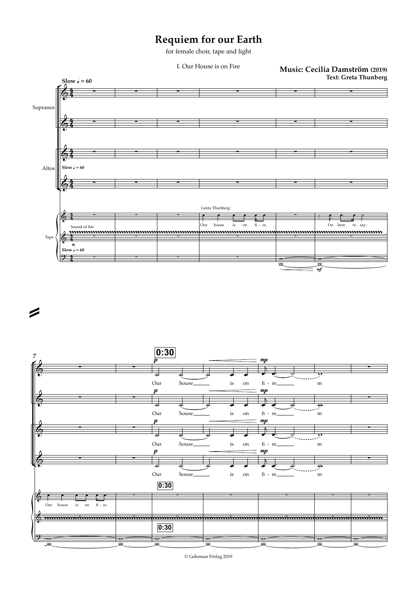# **Requiem for our Earth**

for female choir, tape and light

I. Our House is on Fire

**Music: Cecilia Damström (2019) Text: Greta Thunberg**



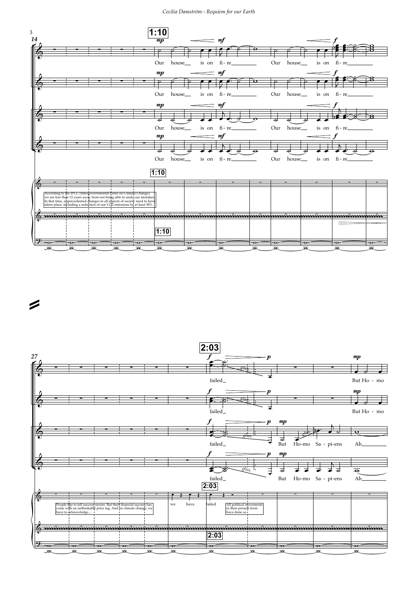*Cecilia Damström - Requiem for our Earth*



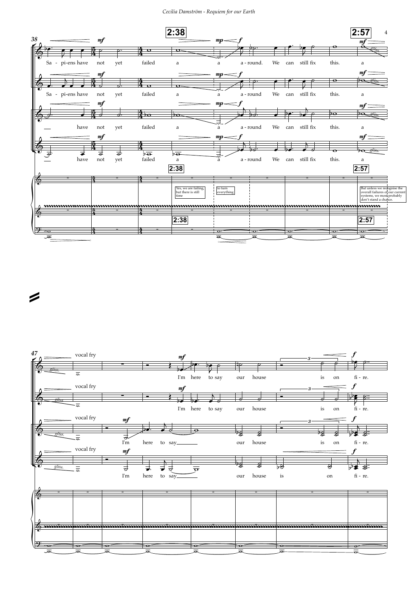

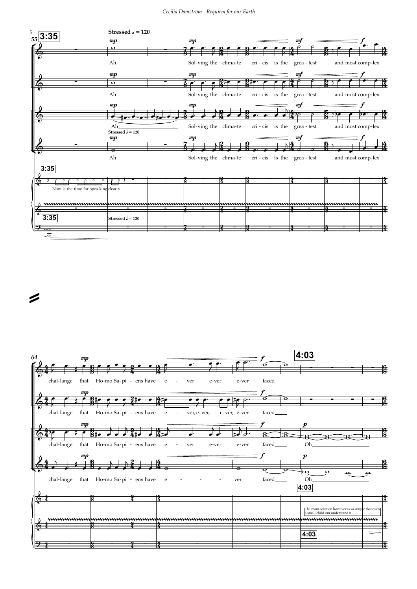

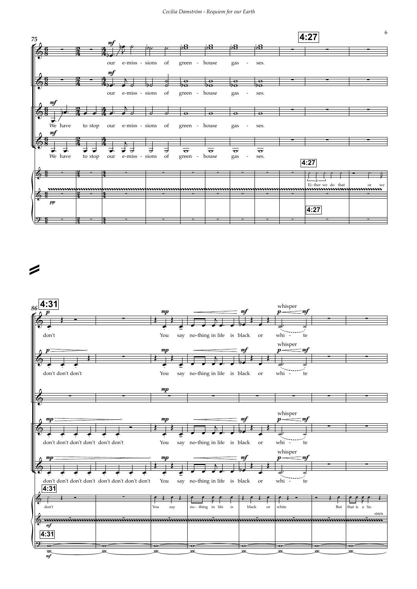

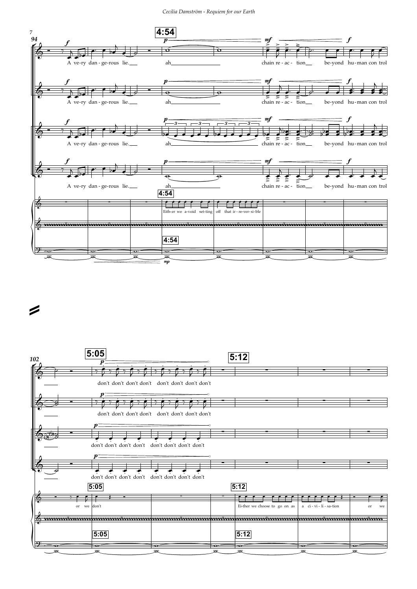

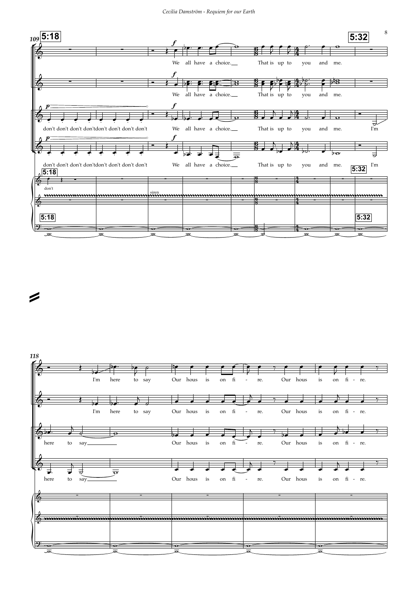*Cecilia Damström - Requiem for our Earth*



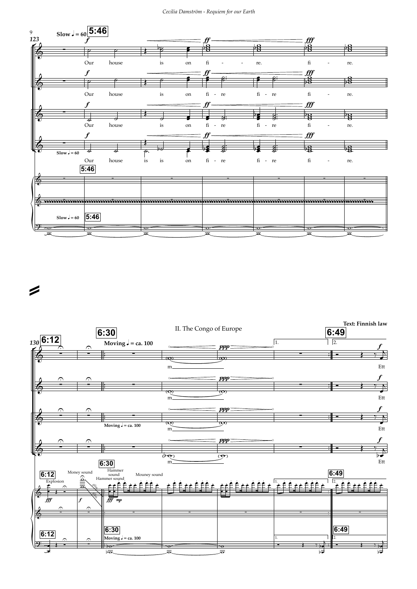*Cecilia Damström - Requiem for our Earth*



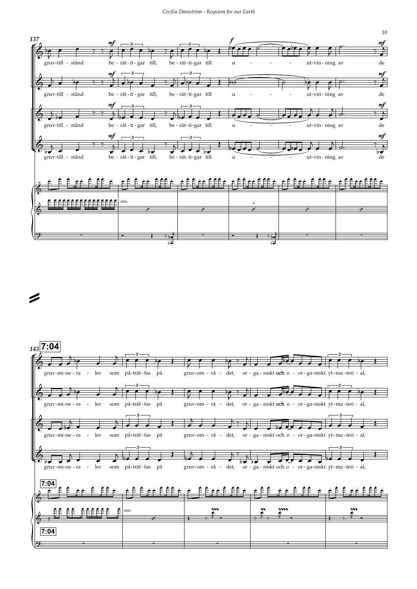*Cecilia Damström - Requiem for our Earth*





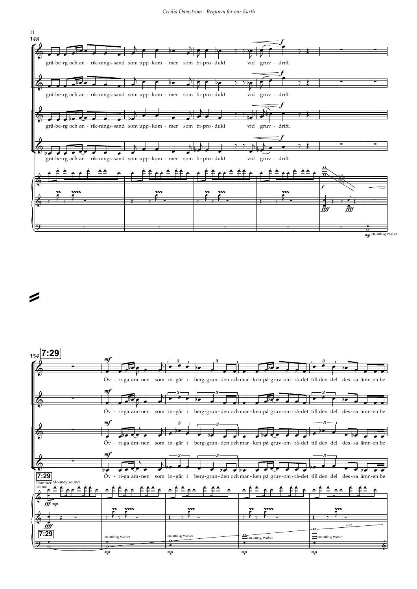

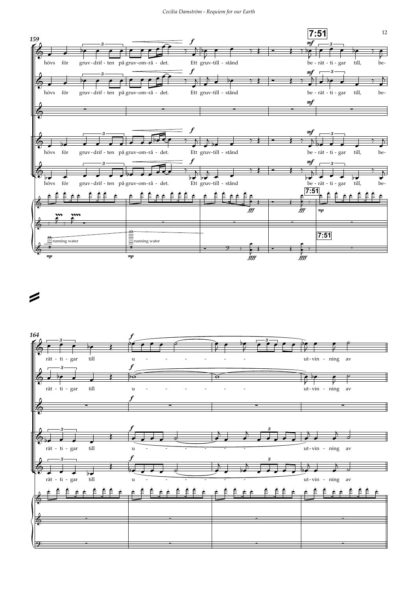

=

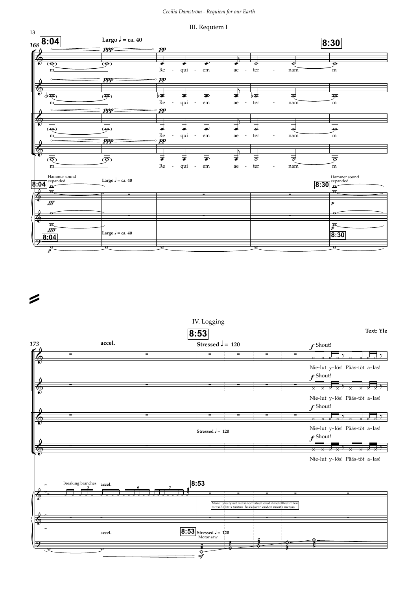III. Requiem I



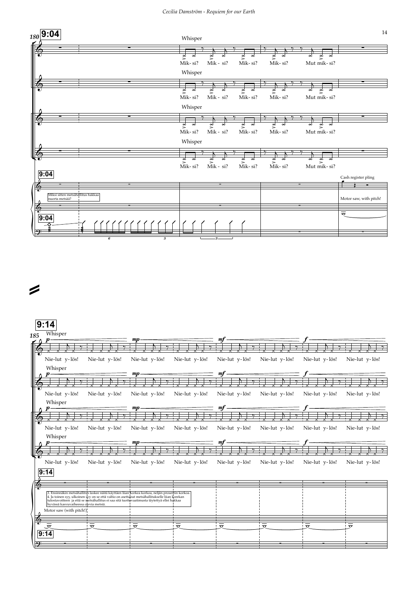

## **9:14**

| Whisper                               |                                                                                                                                                                                                                                                                                                   | $\boldsymbol{m} \boldsymbol{p}$ |                          | $m$ f                    |                |                |                          |
|---------------------------------------|---------------------------------------------------------------------------------------------------------------------------------------------------------------------------------------------------------------------------------------------------------------------------------------------------|---------------------------------|--------------------------|--------------------------|----------------|----------------|--------------------------|
|                                       |                                                                                                                                                                                                                                                                                                   |                                 |                          |                          |                |                |                          |
| Nie-lut y-lös!                        | Nie-lut y-lös!                                                                                                                                                                                                                                                                                    | Nie-lut y-lös!                  | Nie-lut y-lös!           | Nie-lut y-lös!           | Nie-lut y-lös! | Nie-lut y-lös! | Nie-lut y-lös!           |
| Whisper                               |                                                                                                                                                                                                                                                                                                   | $\boldsymbol{m} \boldsymbol{p}$ |                          | m f                      |                |                |                          |
|                                       |                                                                                                                                                                                                                                                                                                   |                                 |                          |                          |                |                |                          |
| Nie-lut y-lös!                        | Nie-lut y-lös!                                                                                                                                                                                                                                                                                    | Nie-lut y-lös!                  | Nie-lut y-lös!           | Nie-lut y-lös!           | Nie-lut y-lös! | Nie-lut y-lös! | Nie-lut y-lös!           |
| Whisper                               |                                                                                                                                                                                                                                                                                                   | тр                              |                          | m f                      |                |                |                          |
|                                       |                                                                                                                                                                                                                                                                                                   |                                 |                          |                          |                |                |                          |
| Nie-lut y-lös!                        | Nie-lut y-lös!                                                                                                                                                                                                                                                                                    | Nie-lut y-lös!                  | Nie-lut y-lös!           | Nie-lut y-lös!           | Nie-lut y-lös! | Nie-lut y-lös! | Nie-lut y-lös!           |
| Whisper                               |                                                                                                                                                                                                                                                                                                   | $\boldsymbol{m}\boldsymbol{p}$  |                          | mf                       |                |                |                          |
|                                       |                                                                                                                                                                                                                                                                                                   |                                 |                          |                          |                |                |                          |
| Nie-lut y-lös!                        | Nie-lut y-lös!                                                                                                                                                                                                                                                                                    | Nie-lut y-lös!                  | Nie-lut y-lös!           | Nie-lut y-lös!           | Nie-lut y-lös! | Nie-lut y-lös! | Nie-lut y-lös!           |
| 9:14                                  |                                                                                                                                                                                                                                                                                                   |                                 |                          |                          |                |                |                          |
|                                       |                                                                                                                                                                                                                                                                                                   |                                 |                          |                          |                |                |                          |
| hyvässä kasvuvaiheessa olevia metsiä. | 3. Ensinnäkin metsähallitus laskee näitä käyttäen liian korkea korkoa, neljän prosentin korkoa.<br>4. Ja toinen syy, ulkoinen syy on se että valtio on asettanut metsähallitukselle liian korekan<br>tulostavoitteen ja että se metsähallitus ei saa sitä tuottovaatimusta täytettyä ellei hakkaa |                                 |                          |                          |                |                |                          |
| Motor saw (with pitch!)               |                                                                                                                                                                                                                                                                                                   |                                 |                          |                          |                |                |                          |
|                                       | $=$                                                                                                                                                                                                                                                                                               |                                 | $\overline{\phantom{m}}$ | $\overline{\phantom{0}}$ | -              |                | $\overline{\phantom{a}}$ |
| $\overline{\mathcal{R}}$              | $\sigma$                                                                                                                                                                                                                                                                                          | $\overline{\overline{R}}$       | $\sigma$                 | $\sigma$                 | $\sigma$       | <u>' ਛ</u>     | $\sigma$                 |
|                                       |                                                                                                                                                                                                                                                                                                   |                                 |                          |                          |                |                |                          |
| 9:14                                  |                                                                                                                                                                                                                                                                                                   |                                 |                          |                          |                |                |                          |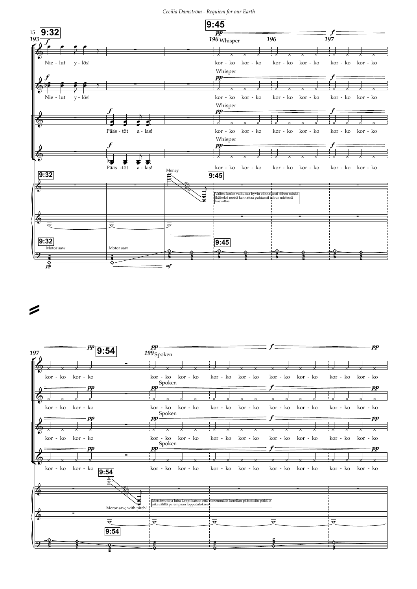

| $\frac{pp}{9}$ .     |                              | $\boldsymbol{pp}$<br>$199$ Spoken                                                                                    |                      |                      | $\boldsymbol{pp}$    |
|----------------------|------------------------------|----------------------------------------------------------------------------------------------------------------------|----------------------|----------------------|----------------------|
|                      |                              |                                                                                                                      |                      |                      |                      |
| kor - ko kor - ko    |                              | kor - ko kor - ko<br>Spoken                                                                                          | kor - ko<br>kor - ko | kor - ko<br>kor - ko | kor - ko<br>kor - ko |
| $\boldsymbol{pp}$    |                              | $pp-$                                                                                                                |                      | f                    | $\boldsymbol{pp}$    |
| kor - ko<br>kor - ko |                              | kor - ko<br>kor - ko                                                                                                 | kor - ko<br>kor - ko | kor - ko<br>kor - ko | kor - ko<br>kor - ko |
| $\boldsymbol{p}$     |                              | Spoken<br>$pp -$                                                                                                     |                      | $f^{\mathsf{-}}$     | $\boldsymbol{pp}$    |
|                      |                              |                                                                                                                      |                      |                      |                      |
| kor - ko<br>kor - ko |                              | kor - ko kor - ko<br>Spoken                                                                                          | kor - ko<br>kor - ko | kor - ko<br>kor - ko | kor - ko<br>kor - ko |
| $\boldsymbol{pp}$    |                              | $\bm{p} \bm{p}$                                                                                                      |                      |                      | $\boldsymbol{pp}$    |
| kor - ko kor - ko    |                              | kor - ko<br>kor - ko                                                                                                 | kor - ko<br>kor - ko | kor - ko<br>kor - ko | kor - ko<br>kor - ko |
|                      | 9:54<br>套                    |                                                                                                                      |                      |                      |                      |
|                      |                              |                                                                                                                      |                      |                      |                      |
|                      | Motor saw, with pitch!       | Metsäntutkija Juha Lappi katsoo että pienemmällä korollan päästäisiin pitkällä aikavälillä parempaan lopputulokseen. |                      |                      |                      |
|                      |                              |                                                                                                                      |                      |                      |                      |
|                      | $\overline{\sigma}$<br> 9:54 | $\overline{\sigma}$                                                                                                  | $\overline{\sigma}$  | $\overline{\sigma}$  | $\overline{\sigma}$  |
|                      |                              |                                                                                                                      |                      |                      |                      |
|                      |                              |                                                                                                                      |                      |                      |                      |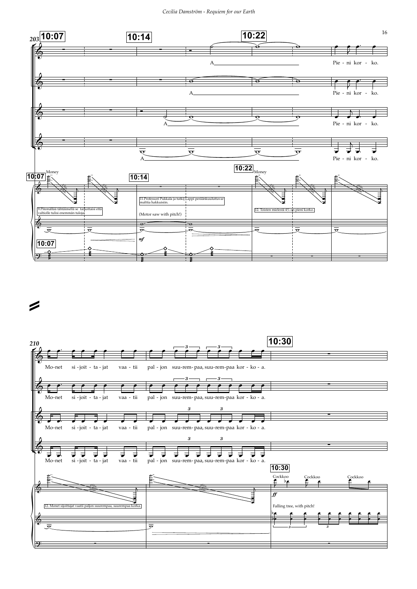



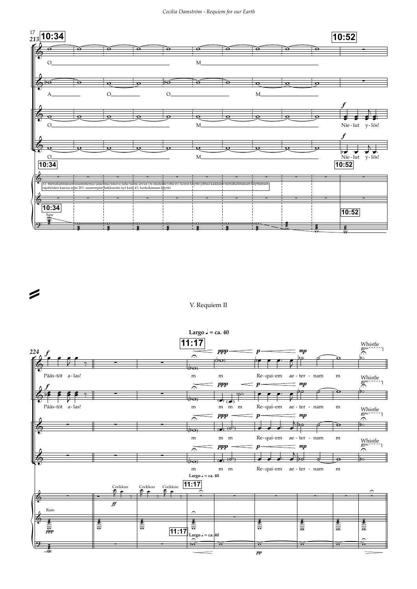

V. Requiem II

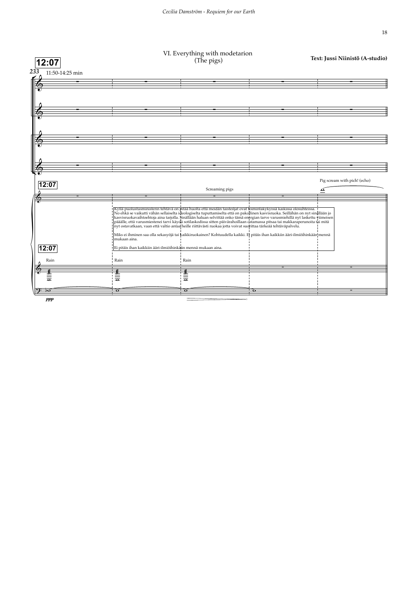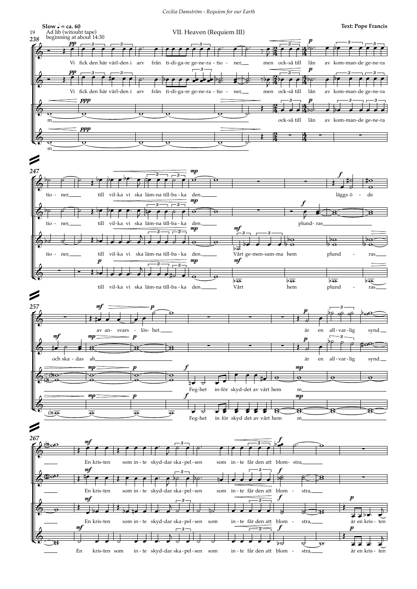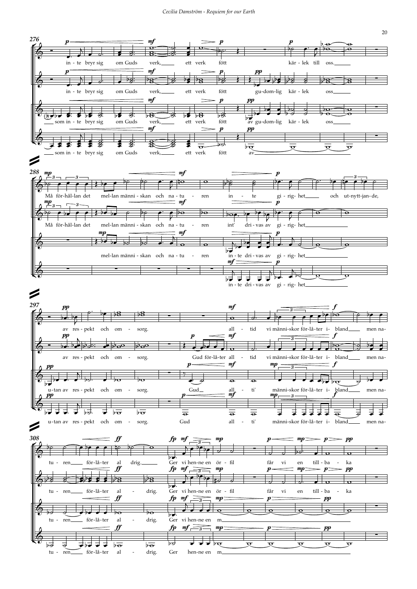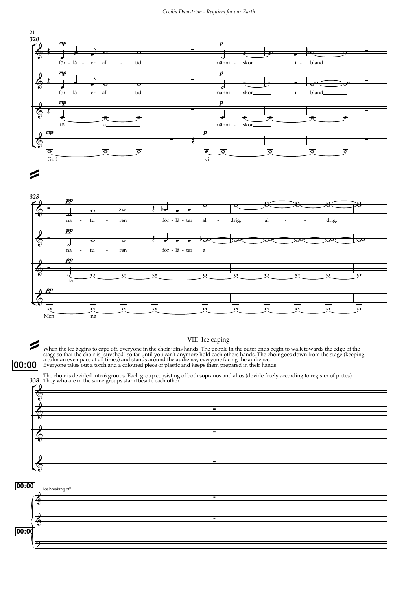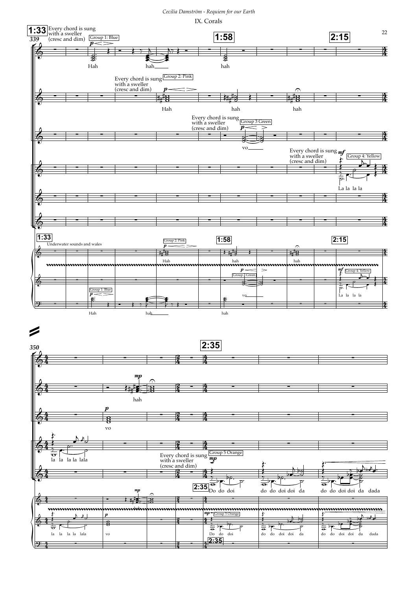

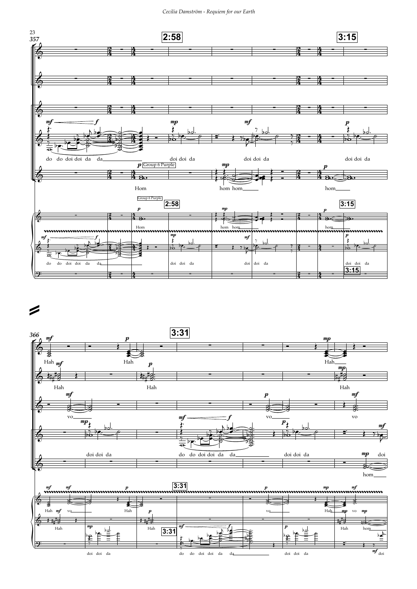*Cecilia Damström - Requiem for our Earth*



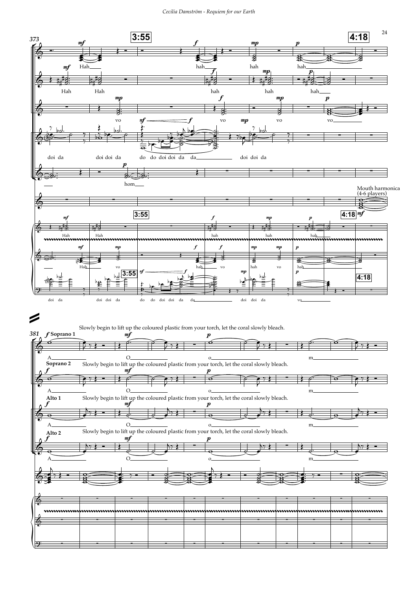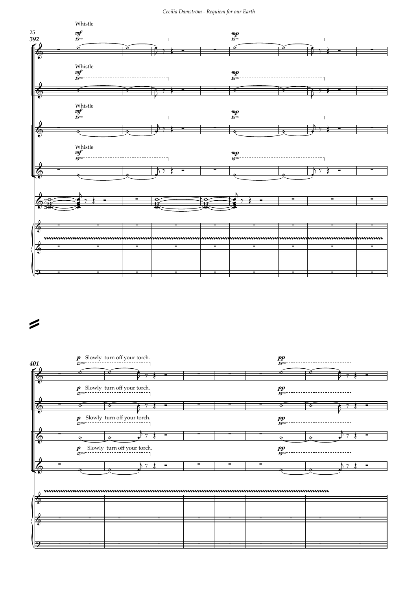